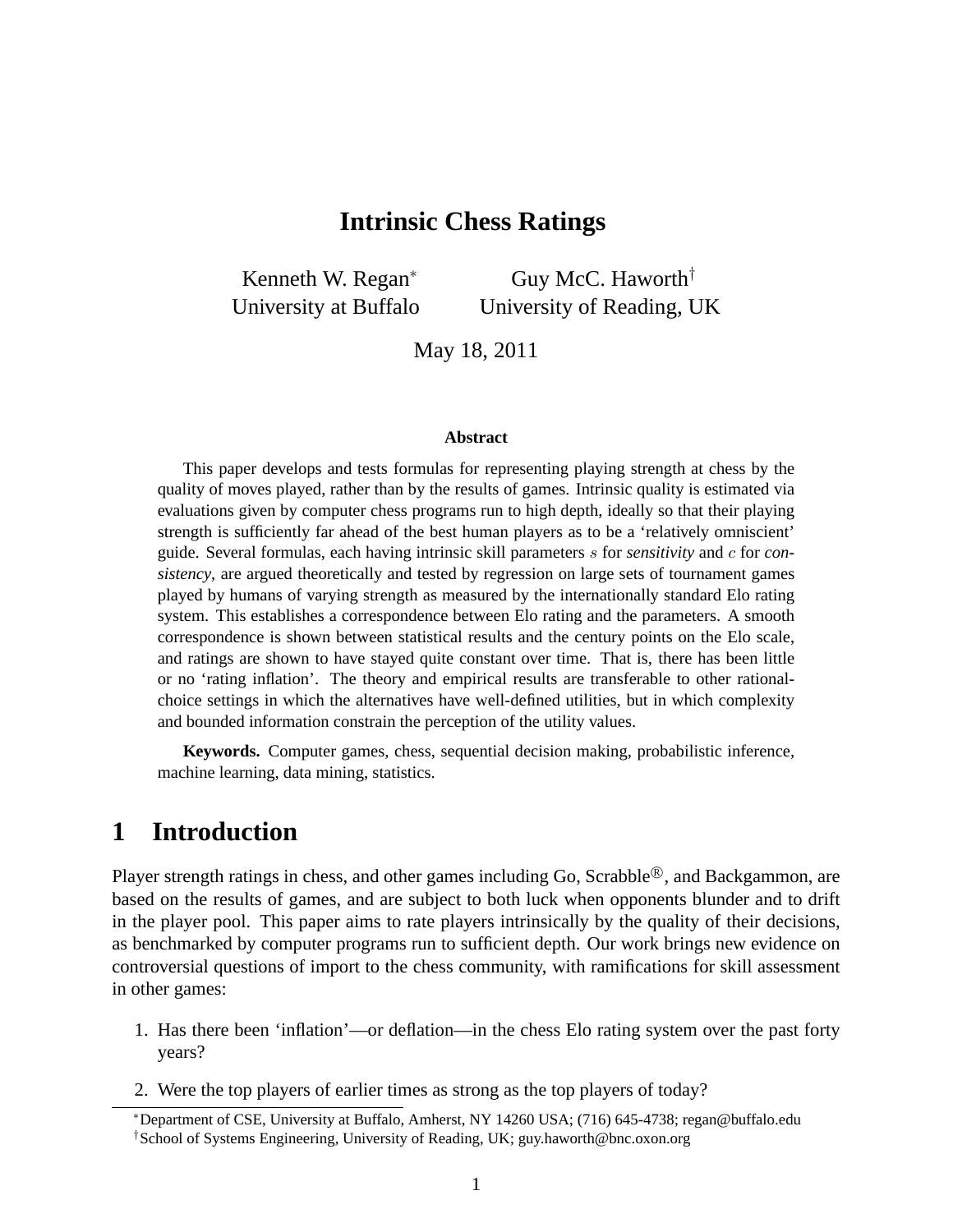### **Intrinsic Chess Ratings**

Kenneth W. Regan<sup>∗</sup> University at Buffalo Guy McC. Haworth† University of Reading, UK

May 18, 2011

#### **Abstract**

This paper develops and tests formulas for representing playing strength at chess by the quality of moves played, rather than by the results of games. Intrinsic quality is estimated via evaluations given by computer chess programs run to high depth, ideally so that their playing strength is sufficiently far ahead of the best human players as to be a 'relatively omniscient' guide. Several formulas, each having intrinsic skill parameters s for *sensitivity* and c for *consistency*, are argued theoretically and tested by regression on large sets of tournament games played by humans of varying strength as measured by the internationally standard Elo rating system. This establishes a correspondence between Elo rating and the parameters. A smooth correspondence is shown between statistical results and the century points on the Elo scale, and ratings are shown to have stayed quite constant over time. That is, there has been little or no 'rating inflation'. The theory and empirical results are transferable to other rationalchoice settings in which the alternatives have well-defined utilities, but in which complexity and bounded information constrain the perception of the utility values.

**Keywords.** Computer games, chess, sequential decision making, probabilistic inference, machine learning, data mining, statistics.

# **1 Introduction**

Player strength ratings in chess, and other games including Go, Scrabble®, and Backgammon, are based on the results of games, and are subject to both luck when opponents blunder and to drift in the player pool. This paper aims to rate players intrinsically by the quality of their decisions, as benchmarked by computer programs run to sufficient depth. Our work brings new evidence on controversial questions of import to the chess community, with ramifications for skill assessment in other games:

- 1. Has there been 'inflation'—or deflation—in the chess Elo rating system over the past forty years?
- 2. Were the top players of earlier times as strong as the top players of today?

<sup>∗</sup>Department of CSE, University at Buffalo, Amherst, NY 14260 USA; (716) 645-4738; regan@buffalo.edu †School of Systems Engineering, University of Reading, UK; guy.haworth@bnc.oxon.org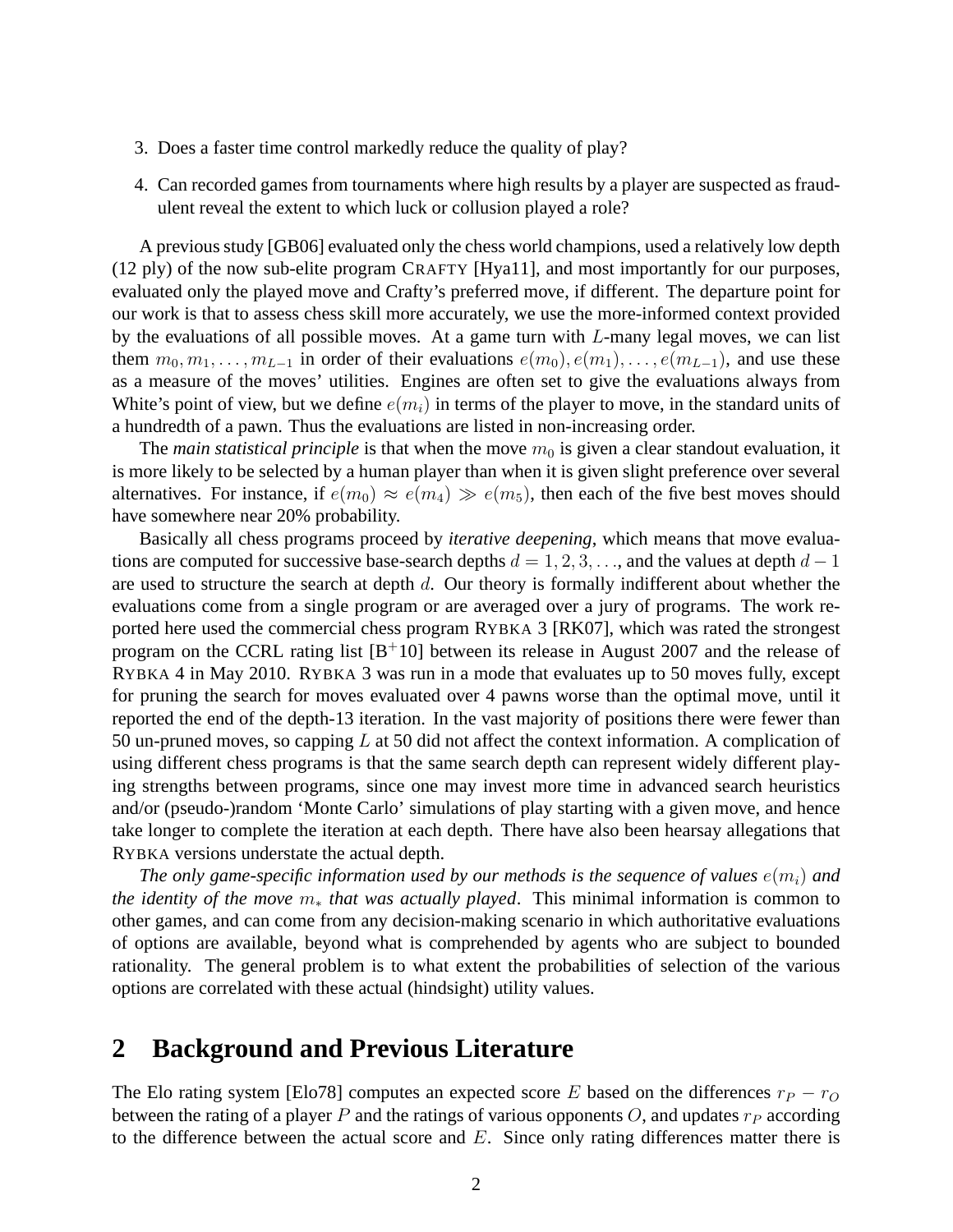- 3. Does a faster time control markedly reduce the quality of play?
- 4. Can recorded games from tournaments where high results by a player are suspected as fraudulent reveal the extent to which luck or collusion played a role?

A previous study [GB06] evaluated only the chess world champions, used a relatively low depth (12 ply) of the now sub-elite program CRAFTY [Hya11], and most importantly for our purposes, evaluated only the played move and Crafty's preferred move, if different. The departure point for our work is that to assess chess skill more accurately, we use the more-informed context provided by the evaluations of all possible moves. At a game turn with L-many legal moves, we can list them  $m_0, m_1, \ldots, m_{L-1}$  in order of their evaluations  $e(m_0), e(m_1), \ldots, e(m_{L-1})$ , and use these as a measure of the moves' utilities. Engines are often set to give the evaluations always from White's point of view, but we define  $e(m_i)$  in terms of the player to move, in the standard units of a hundredth of a pawn. Thus the evaluations are listed in non-increasing order.

The *main statistical principle* is that when the move  $m_0$  is given a clear standout evaluation, it is more likely to be selected by a human player than when it is given slight preference over several alternatives. For instance, if  $e(m_0) \approx e(m_4) \gg e(m_5)$ , then each of the five best moves should have somewhere near 20% probability.

Basically all chess programs proceed by *iterative deepening*, which means that move evaluations are computed for successive base-search depths  $d = 1, 2, 3, \ldots$ , and the values at depth  $d - 1$ are used to structure the search at depth  $d$ . Our theory is formally indifferent about whether the evaluations come from a single program or are averaged over a jury of programs. The work reported here used the commercial chess program RYBKA 3 [RK07], which was rated the strongest program on the CCRL rating list  $[B<sup>+</sup>10]$  between its release in August 2007 and the release of RYBKA 4 in May 2010. RYBKA 3 was run in a mode that evaluates up to 50 moves fully, except for pruning the search for moves evaluated over 4 pawns worse than the optimal move, until it reported the end of the depth-13 iteration. In the vast majority of positions there were fewer than 50 un-pruned moves, so capping L at 50 did not affect the context information. A complication of using different chess programs is that the same search depth can represent widely different playing strengths between programs, since one may invest more time in advanced search heuristics and/or (pseudo-)random 'Monte Carlo' simulations of play starting with a given move, and hence take longer to complete the iteration at each depth. There have also been hearsay allegations that RYBKA versions understate the actual depth.

*The only game-specific information used by our methods is the sequence of values*  $e(m_i)$  *and the identity of the move* m<sup>∗</sup> *that was actually played*. This minimal information is common to other games, and can come from any decision-making scenario in which authoritative evaluations of options are available, beyond what is comprehended by agents who are subject to bounded rationality. The general problem is to what extent the probabilities of selection of the various options are correlated with these actual (hindsight) utility values.

### **2 Background and Previous Literature**

The Elo rating system [Elo78] computes an expected score E based on the differences  $r_P - r_O$ between the rating of a player P and the ratings of various opponents O, and updates  $r_P$  according to the difference between the actual score and  $E$ . Since only rating differences matter there is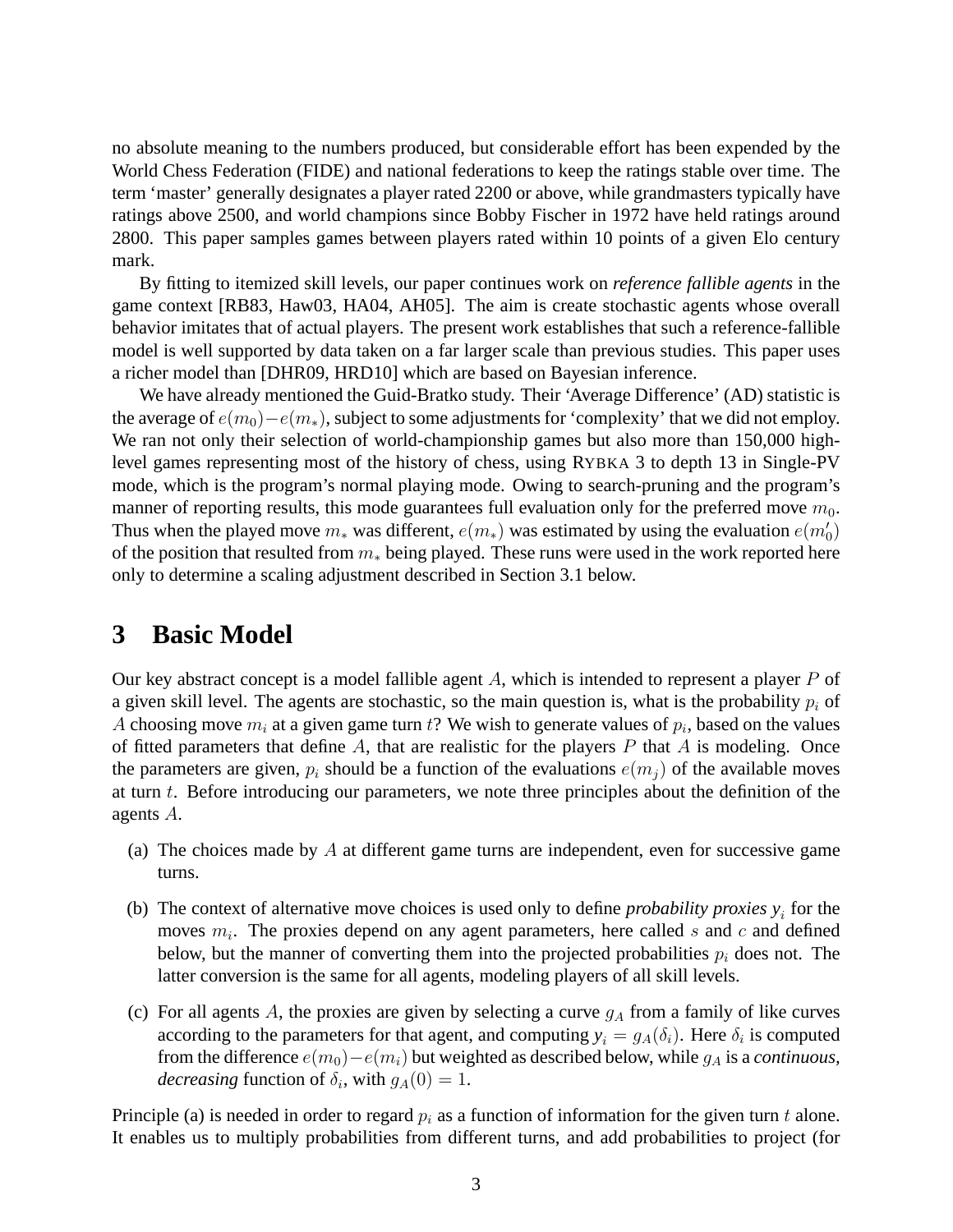no absolute meaning to the numbers produced, but considerable effort has been expended by the World Chess Federation (FIDE) and national federations to keep the ratings stable over time. The term 'master' generally designates a player rated 2200 or above, while grandmasters typically have ratings above 2500, and world champions since Bobby Fischer in 1972 have held ratings around 2800. This paper samples games between players rated within 10 points of a given Elo century mark.

By fitting to itemized skill levels, our paper continues work on *reference fallible agents* in the game context [RB83, Haw03, HA04, AH05]. The aim is create stochastic agents whose overall behavior imitates that of actual players. The present work establishes that such a reference-fallible model is well supported by data taken on a far larger scale than previous studies. This paper uses a richer model than [DHR09, HRD10] which are based on Bayesian inference.

We have already mentioned the Guid-Bratko study. Their 'Average Difference' (AD) statistic is the average of  $e(m_0)-e(m_*)$ , subject to some adjustments for 'complexity' that we did not employ. We ran not only their selection of world-championship games but also more than 150,000 highlevel games representing most of the history of chess, using RYBKA 3 to depth 13 in Single-PV mode, which is the program's normal playing mode. Owing to search-pruning and the program's manner of reporting results, this mode guarantees full evaluation only for the preferred move  $m_0$ . Thus when the played move  $m_*$  was different,  $e(m_*)$  was estimated by using the evaluation  $e(m_0)$ of the position that resulted from  $m<sub>*</sub>$  being played. These runs were used in the work reported here only to determine a scaling adjustment described in Section 3.1 below.

# **3 Basic Model**

Our key abstract concept is a model fallible agent  $A$ , which is intended to represent a player  $P$  of a given skill level. The agents are stochastic, so the main question is, what is the probability  $p_i$  of A choosing move  $m_i$  at a given game turn t? We wish to generate values of  $p_i$ , based on the values of fitted parameters that define  $A$ , that are realistic for the players  $P$  that  $A$  is modeling. Once the parameters are given,  $p_i$  should be a function of the evaluations  $e(m_i)$  of the available moves at turn  $t$ . Before introducing our parameters, we note three principles about the definition of the agents A.

- (a) The choices made by  $A$  at different game turns are independent, even for successive game turns.
- (b) The context of alternative move choices is used only to define *probability proxies*  $y_i$  for the moves  $m_i$ . The proxies depend on any agent parameters, here called s and c and defined below, but the manner of converting them into the projected probabilities  $p_i$  does not. The latter conversion is the same for all agents, modeling players of all skill levels.
- (c) For all agents A, the proxies are given by selecting a curve  $g_A$  from a family of like curves according to the parameters for that agent, and computing  $y_i = g_A(\delta_i)$ . Here  $\delta_i$  is computed from the difference  $e(m_0) - e(m_i)$  but weighted as described below, while  $g_A$  is a *continuous*, *decreasing* function of  $\delta_i$ , with  $g_A(0) = 1$ .

Principle (a) is needed in order to regard  $p_i$  as a function of information for the given turn t alone. It enables us to multiply probabilities from different turns, and add probabilities to project (for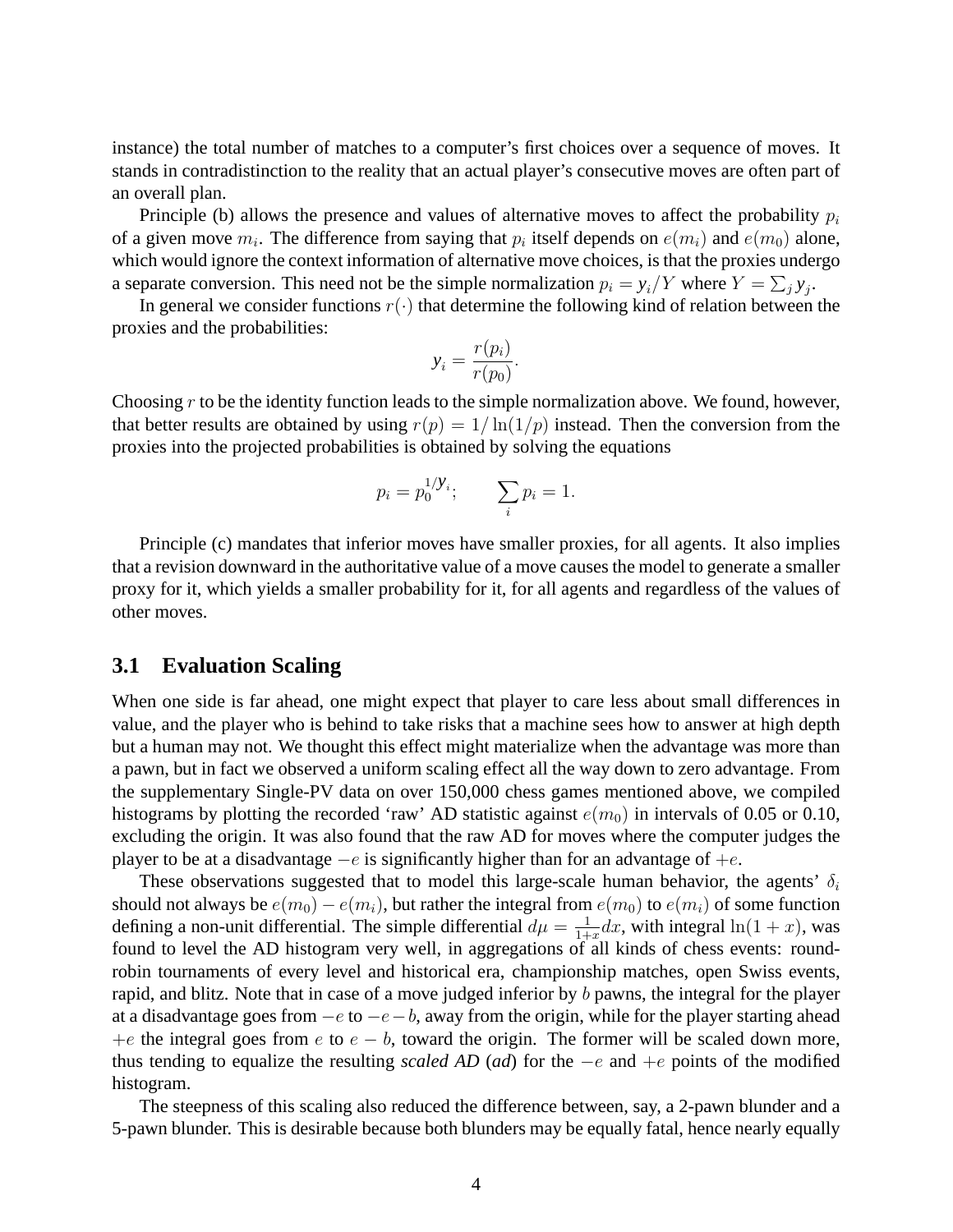instance) the total number of matches to a computer's first choices over a sequence of moves. It stands in contradistinction to the reality that an actual player's consecutive moves are often part of an overall plan.

Principle (b) allows the presence and values of alternative moves to affect the probability  $p_i$ of a given move  $m_i$ . The difference from saying that  $p_i$  itself depends on  $e(m_i)$  and  $e(m_0)$  alone, which would ignore the context information of alternative move choices, is that the proxies undergo a separate conversion. This need not be the simple normalization  $p_i = y_i/Y$  where  $Y = \sum_j y_j$ .

In general we consider functions  $r(\cdot)$  that determine the following kind of relation between the proxies and the probabilities:

$$
y_i = \frac{r(p_i)}{r(p_0)}.
$$

Choosing  $r$  to be the identity function leads to the simple normalization above. We found, however, that better results are obtained by using  $r(p) = 1/\ln(1/p)$  instead. Then the conversion from the proxies into the projected probabilities is obtained by solving the equations

$$
p_i = p_0^{1/Y_i};
$$
  $\sum_i p_i = 1.$ 

Principle (c) mandates that inferior moves have smaller proxies, for all agents. It also implies that a revision downward in the authoritative value of a move causes the model to generate a smaller proxy for it, which yields a smaller probability for it, for all agents and regardless of the values of other moves.

### **3.1 Evaluation Scaling**

When one side is far ahead, one might expect that player to care less about small differences in value, and the player who is behind to take risks that a machine sees how to answer at high depth but a human may not. We thought this effect might materialize when the advantage was more than a pawn, but in fact we observed a uniform scaling effect all the way down to zero advantage. From the supplementary Single-PV data on over 150,000 chess games mentioned above, we compiled histograms by plotting the recorded 'raw' AD statistic against  $e(m_0)$  in intervals of 0.05 or 0.10, excluding the origin. It was also found that the raw AD for moves where the computer judges the player to be at a disadvantage  $-e$  is significantly higher than for an advantage of  $+e$ .

These observations suggested that to model this large-scale human behavior, the agents'  $\delta_i$ should not always be  $e(m_0) - e(m_i)$ , but rather the integral from  $e(m_0)$  to  $e(m_i)$  of some function defining a non-unit differential. The simple differential  $d\mu = \frac{1}{1+\mu}$  $\frac{1}{1+x}dx$ , with integral  $\ln(1+x)$ , was found to level the AD histogram very well, in aggregations of all kinds of chess events: roundrobin tournaments of every level and historical era, championship matches, open Swiss events, rapid, and blitz. Note that in case of a move judged inferior by b pawns, the integral for the player at a disadvantage goes from  $-e$  to  $-e-b$ , away from the origin, while for the player starting ahead +e the integral goes from e to  $e - b$ , toward the origin. The former will be scaled down more, thus tending to equalize the resulting *scaled AD* (*ad*) for the −e and +e points of the modified histogram.

The steepness of this scaling also reduced the difference between, say, a 2-pawn blunder and a 5-pawn blunder. This is desirable because both blunders may be equally fatal, hence nearly equally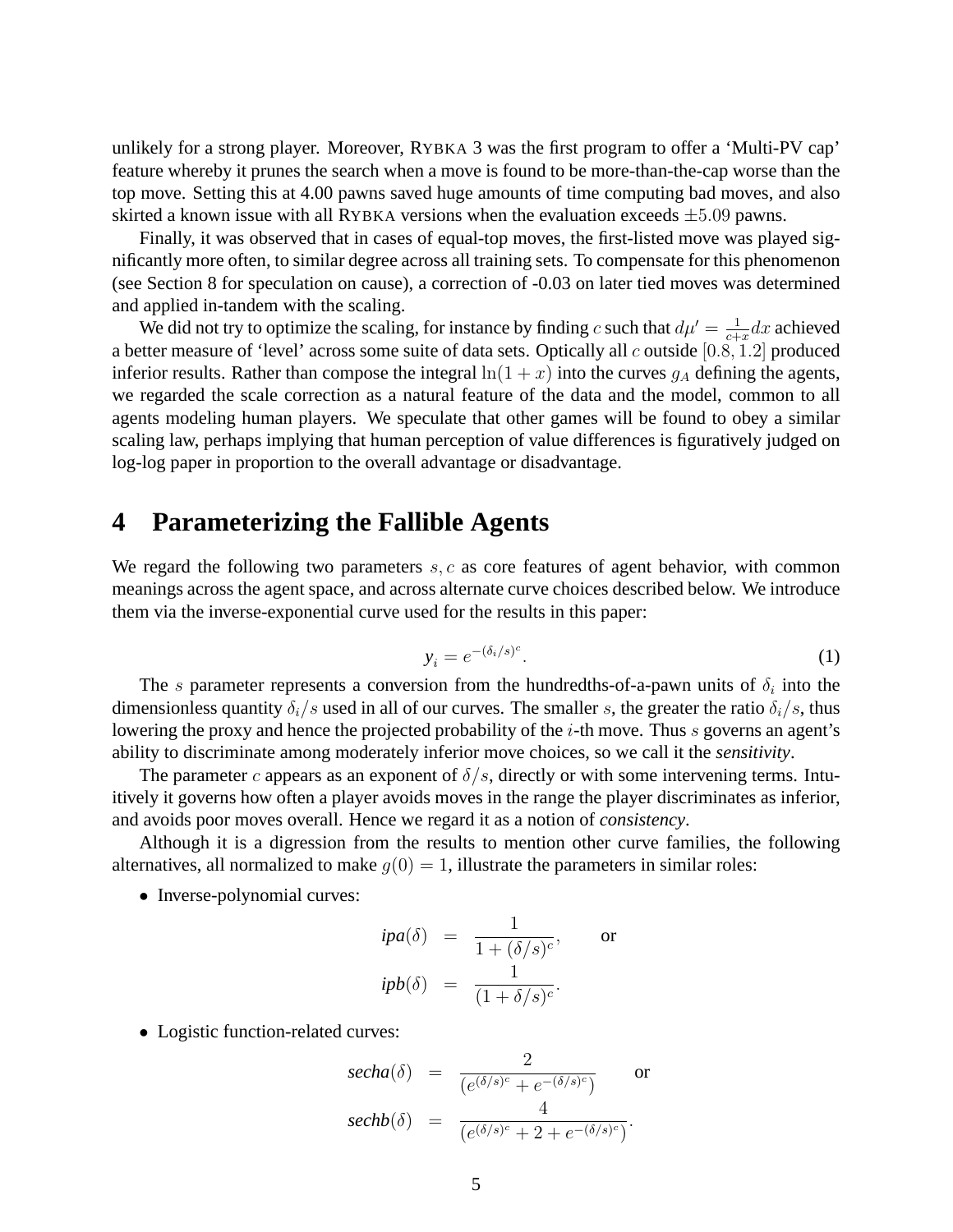unlikely for a strong player. Moreover, RYBKA 3 was the first program to offer a 'Multi-PV cap' feature whereby it prunes the search when a move is found to be more-than-the-cap worse than the top move. Setting this at 4.00 pawns saved huge amounts of time computing bad moves, and also skirted a known issue with all RYBKA versions when the evaluation exceeds  $\pm 5.09$  pawns.

Finally, it was observed that in cases of equal-top moves, the first-listed move was played significantly more often, to similar degree across all training sets. To compensate for this phenomenon (see Section 8 for speculation on cause), a correction of -0.03 on later tied moves was determined and applied in-tandem with the scaling.

We did not try to optimize the scaling, for instance by finding c such that  $d\mu' = \frac{1}{c_1}$  $\frac{1}{c+x}dx$  achieved a better measure of 'level' across some suite of data sets. Optically all c outside [0.8, 1.2] produced inferior results. Rather than compose the integral  $\ln(1 + x)$  into the curves  $g_A$  defining the agents, we regarded the scale correction as a natural feature of the data and the model, common to all agents modeling human players. We speculate that other games will be found to obey a similar scaling law, perhaps implying that human perception of value differences is figuratively judged on log-log paper in proportion to the overall advantage or disadvantage.

# **4 Parameterizing the Fallible Agents**

We regard the following two parameters  $s, c$  as core features of agent behavior, with common meanings across the agent space, and across alternate curve choices described below. We introduce them via the inverse-exponential curve used for the results in this paper:

$$
y_i = e^{-(\delta_i/s)^c}.\tag{1}
$$

The s parameter represents a conversion from the hundredths-of-a-pawn units of  $\delta_i$  into the dimensionless quantity  $\delta_i/s$  used in all of our curves. The smaller s, the greater the ratio  $\delta_i/s$ , thus lowering the proxy and hence the projected probability of the *i*-th move. Thus *s* governs an agent's ability to discriminate among moderately inferior move choices, so we call it the *sensitivity*.

The parameter c appears as an exponent of  $\delta/s$ , directly or with some intervening terms. Intuitively it governs how often a player avoids moves in the range the player discriminates as inferior, and avoids poor moves overall. Hence we regard it as a notion of *consistency*.

Although it is a digression from the results to mention other curve families, the following alternatives, all normalized to make  $g(0) = 1$ , illustrate the parameters in similar roles:

• Inverse-polynomial curves:

$$
ipa(\delta) = \frac{1}{1 + (\delta/s)^c}, \quad \text{or}
$$

$$
ipb(\delta) = \frac{1}{(1 + \delta/s)^c}.
$$

• Logistic function-related curves:

$$
\begin{array}{rcl}\n\text{secha}(\delta) & = & \frac{2}{\left(e^{(\delta/s)^c} + e^{-(\delta/s)^c}\right)} \qquad \text{or} \\
\text{sechb}(\delta) & = & \frac{4}{\left(e^{(\delta/s)^c} + 2 + e^{-(\delta/s)^c}\right)}.\n\end{array}
$$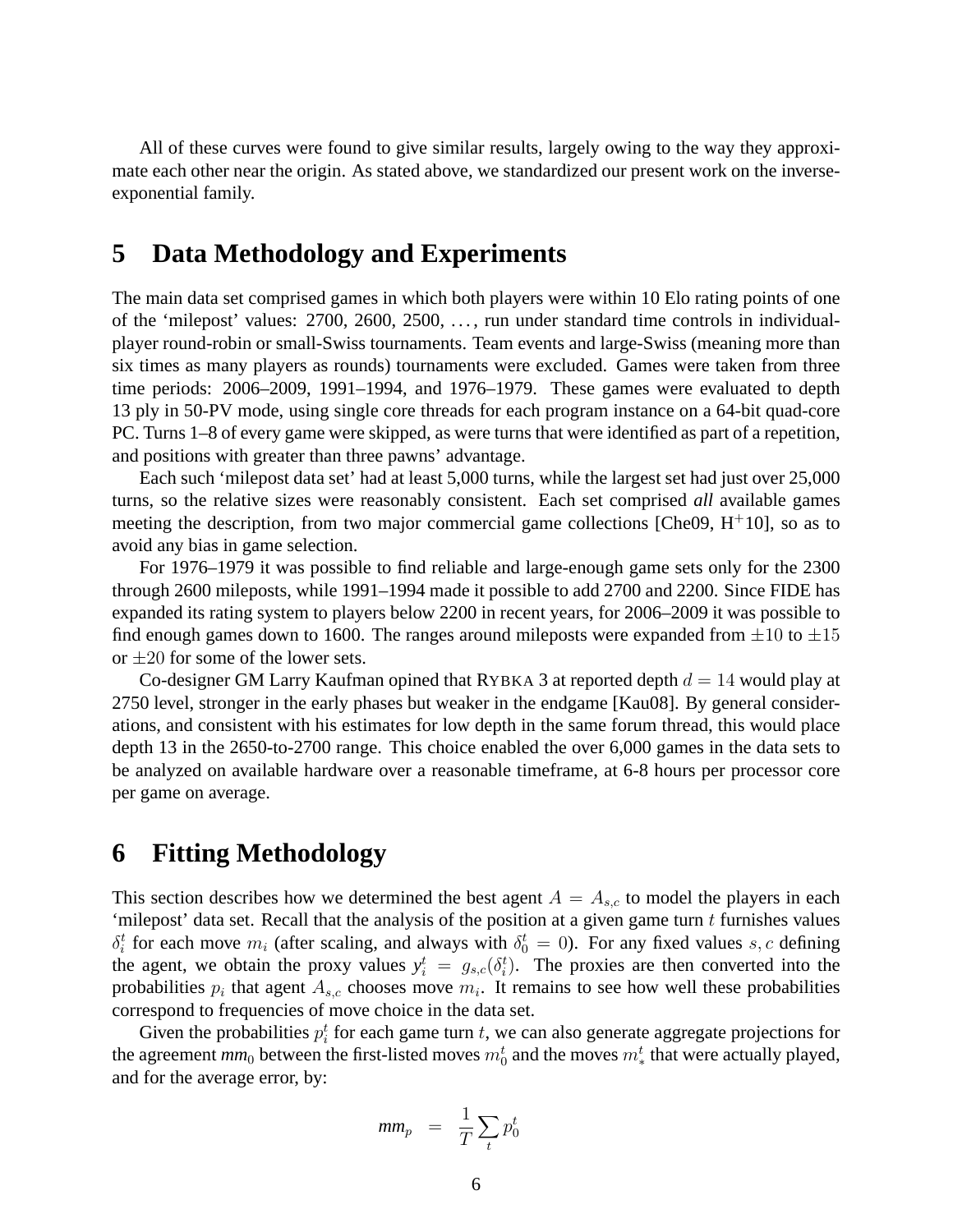All of these curves were found to give similar results, largely owing to the way they approximate each other near the origin. As stated above, we standardized our present work on the inverseexponential family.

# **5 Data Methodology and Experiments**

The main data set comprised games in which both players were within 10 Elo rating points of one of the 'milepost' values: 2700, 2600, 2500, . . . , run under standard time controls in individualplayer round-robin or small-Swiss tournaments. Team events and large-Swiss (meaning more than six times as many players as rounds) tournaments were excluded. Games were taken from three time periods: 2006–2009, 1991–1994, and 1976–1979. These games were evaluated to depth 13 ply in 50-PV mode, using single core threads for each program instance on a 64-bit quad-core PC. Turns 1–8 of every game were skipped, as were turns that were identified as part of a repetition, and positions with greater than three pawns' advantage.

Each such 'milepost data set' had at least 5,000 turns, while the largest set had just over 25,000 turns, so the relative sizes were reasonably consistent. Each set comprised *all* available games meeting the description, from two major commercial game collections [Che09,  $H^+10$ ], so as to avoid any bias in game selection.

For 1976–1979 it was possible to find reliable and large-enough game sets only for the 2300 through 2600 mileposts, while 1991–1994 made it possible to add 2700 and 2200. Since FIDE has expanded its rating system to players below 2200 in recent years, for 2006–2009 it was possible to find enough games down to 1600. The ranges around mileposts were expanded from  $\pm 10$  to  $\pm 15$ or  $\pm 20$  for some of the lower sets.

Co-designer GM Larry Kaufman opined that RYBKA 3 at reported depth  $d = 14$  would play at 2750 level, stronger in the early phases but weaker in the endgame [Kau08]. By general considerations, and consistent with his estimates for low depth in the same forum thread, this would place depth 13 in the 2650-to-2700 range. This choice enabled the over 6,000 games in the data sets to be analyzed on available hardware over a reasonable timeframe, at 6-8 hours per processor core per game on average.

# **6 Fitting Methodology**

This section describes how we determined the best agent  $A = A_{s,c}$  to model the players in each 'milepost' data set. Recall that the analysis of the position at a given game turn  $t$  furnishes values  $\delta_i^t$  for each move  $m_i$  (after scaling, and always with  $\delta_0^t = 0$ ). For any fixed values s, c defining the agent, we obtain the proxy values  $y_i^t = g_{s,c}(\delta_i^t)$ . The proxies are then converted into the probabilities  $p_i$  that agent  $A_{s,c}$  chooses move  $m_i$ . It remains to see how well these probabilities correspond to frequencies of move choice in the data set.

Given the probabilities  $p_i^t$  for each game turn t, we can also generate aggregate projections for the agreement  $mm_0$  between the first-listed moves  $m_0^t$  and the moves  $m_*^t$  that were actually played, and for the average error, by:

$$
mm_p = \frac{1}{T} \sum_t p_0^t
$$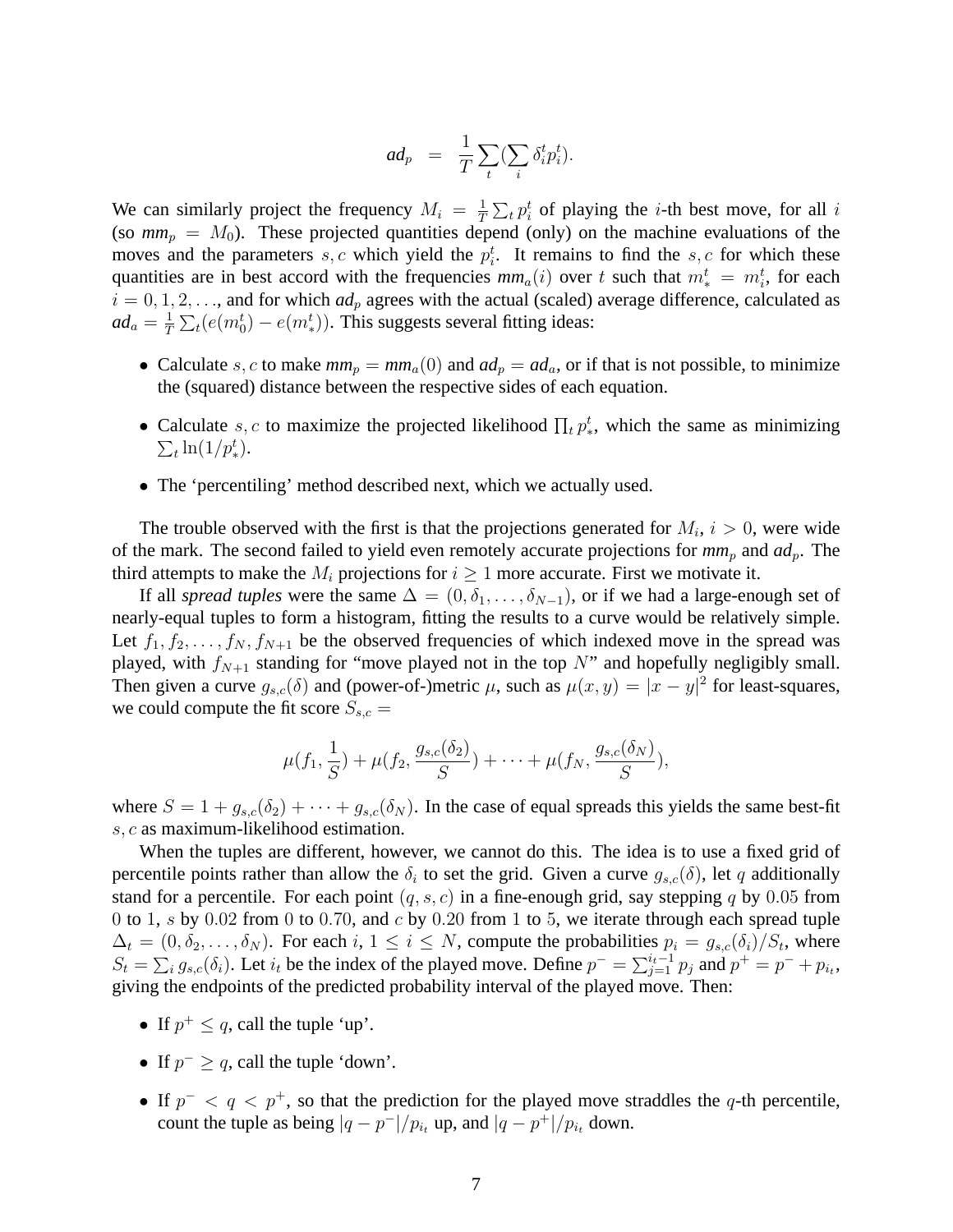$$
ad_p = \frac{1}{T} \sum_t (\sum_i \delta_i^t p_i^t).
$$

We can similarly project the frequency  $M_i = \frac{1}{l}$  $\frac{1}{T} \sum_t p_i^t$  of playing the *i*-th best move, for all *i* (so  $mm_p = M_0$ ). These projected quantities depend (only) on the machine evaluations of the moves and the parameters s, c which yield the  $p_i^t$ . It remains to find the s, c for which these quantities are in best accord with the frequencies  $mm_a(i)$  over t such that  $m^t_* = m^t_i$ , for each  $i = 0, 1, 2, \ldots$ , and for which  $ad_p$  agrees with the actual (scaled) average difference, calculated as  $ad_a = \frac{1}{7}$  $\frac{1}{T} \sum_{t} (e(m_0^t) - e(m_*^t))$ . This suggests several fitting ideas:

- Calculate s, c to make  $mm_p = mm_a(0)$  and  $ad_p = ad_a$ , or if that is not possible, to minimize the (squared) distance between the respective sides of each equation.
- Calculate s, c to maximize the projected likelihood  $\prod_t p^t$ , which the same as minimizing  $\sum_t \ln(1/p_*^t)$ .
- The 'percentiling' method described next, which we actually used.

The trouble observed with the first is that the projections generated for  $M_i$ ,  $i > 0$ , were wide of the mark. The second failed to yield even remotely accurate projections for  $mm_p$  and  $ad_p$ . The third attempts to make the  $M_i$  projections for  $i \geq 1$  more accurate. First we motivate it.

If all *spread tuples* were the same  $\Delta = (0, \delta_1, \ldots, \delta_{N-1})$ , or if we had a large-enough set of nearly-equal tuples to form a histogram, fitting the results to a curve would be relatively simple. Let  $f_1, f_2, \ldots, f_N, f_{N+1}$  be the observed frequencies of which indexed move in the spread was played, with  $f_{N+1}$  standing for "move played not in the top N" and hopefully negligibly small. Then given a curve  $g_{s,c}(\delta)$  and (power-of-)metric  $\mu$ , such as  $\mu(x,y) = |x-y|^2$  for least-squares, we could compute the fit score  $S_{s,c}$  =

$$
\mu(f_1,\frac{1}{S})+\mu(f_2,\frac{g_{s,c}(\delta_2)}{S})+\cdots+\mu(f_N,\frac{g_{s,c}(\delta_N)}{S}),
$$

where  $S = 1 + g_{s,c}(\delta_2) + \cdots + g_{s,c}(\delta_N)$ . In the case of equal spreads this yields the same best-fit s, c as maximum-likelihood estimation.

When the tuples are different, however, we cannot do this. The idea is to use a fixed grid of percentile points rather than allow the  $\delta_i$  to set the grid. Given a curve  $g_{s,c}(\delta)$ , let q additionally stand for a percentile. For each point  $(q, s, c)$  in a fine-enough grid, say stepping q by 0.05 from 0 to 1, s by 0.02 from 0 to 0.70, and  $c$  by 0.20 from 1 to 5, we iterate through each spread tuple  $\Delta_t = (0, \delta_2, \dots, \delta_N)$ . For each  $i, 1 \le i \le N$ , compute the probabilities  $p_i = g_{s,c}(\delta_i)/S_t$ , where  $S_t = \sum_i g_{s,c}(\delta_i)$ . Let  $i_t$  be the index of the played move. Define  $p^- = \sum_{j=1}^{i_t-1} p_j$  and  $p^+ = p^- + p_i$ . giving the endpoints of the predicted probability interval of the played move. Then:

- If  $p^+ \leq q$ , call the tuple 'up'.
- If  $p^- \geq q$ , call the tuple 'down'.
- If  $p^{-} < q < p^{+}$ , so that the prediction for the played move straddles the q-th percentile, count the tuple as being  $|q - p^{-}|/p_{i_t}$  up, and  $|q - p^{+}|/p_{i_t}$  down.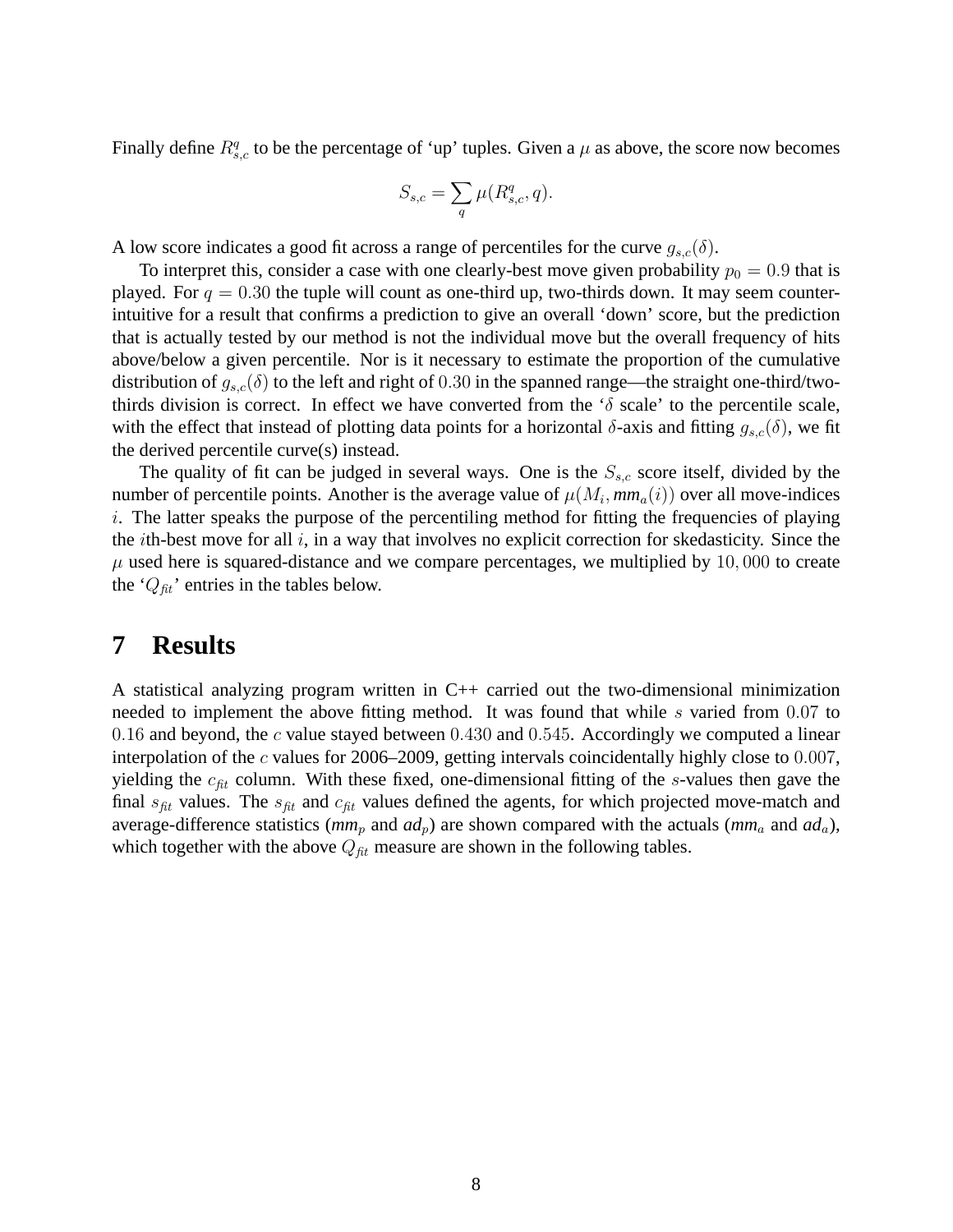Finally define  $R_{s,c}^q$  to be the percentage of 'up' tuples. Given a  $\mu$  as above, the score now becomes

$$
S_{s,c} = \sum_{q} \mu(R_{s,c}^q, q).
$$

A low score indicates a good fit across a range of percentiles for the curve  $g_{s,c}(\delta)$ .

To interpret this, consider a case with one clearly-best move given probability  $p_0 = 0.9$  that is played. For  $q = 0.30$  the tuple will count as one-third up, two-thirds down. It may seem counterintuitive for a result that confirms a prediction to give an overall 'down' score, but the prediction that is actually tested by our method is not the individual move but the overall frequency of hits above/below a given percentile. Nor is it necessary to estimate the proportion of the cumulative distribution of  $g_{s,c}(\delta)$  to the left and right of 0.30 in the spanned range—the straight one-third/twothirds division is correct. In effect we have converted from the ' $\delta$  scale' to the percentile scale, with the effect that instead of plotting data points for a horizontal  $\delta$ -axis and fitting  $g_{s,c}(\delta)$ , we fit the derived percentile curve(s) instead.

The quality of fit can be judged in several ways. One is the  $S_{s,c}$  score itself, divided by the number of percentile points. Another is the average value of  $\mu(M_i, mm_a(i))$  over all move-indices i. The latter speaks the purpose of the percentiling method for fitting the frequencies of playing the *i*th-best move for all  $i$ , in a way that involves no explicit correction for skedasticity. Since the  $\mu$  used here is squared-distance and we compare percentages, we multiplied by 10,000 to create the ' $Q_{fit}$ ' entries in the tables below.

# **7 Results**

A statistical analyzing program written in  $C_{++}$  carried out the two-dimensional minimization needed to implement the above fitting method. It was found that while s varied from 0.07 to 0.16 and beyond, the  $c$  value stayed between 0.430 and 0.545. Accordingly we computed a linear interpolation of the c values for 2006–2009, getting intervals coincidentally highly close to  $0.007$ , yielding the  $c_{fit}$  column. With these fixed, one-dimensional fitting of the s-values then gave the final  $s_{fit}$  values. The  $s_{fit}$  and  $c_{fit}$  values defined the agents, for which projected move-match and average-difference statistics ( $mm_p$  and  $ad_p$ ) are shown compared with the actuals ( $mm_a$  and  $ad_a$ ), which together with the above  $Q_{fit}$  measure are shown in the following tables.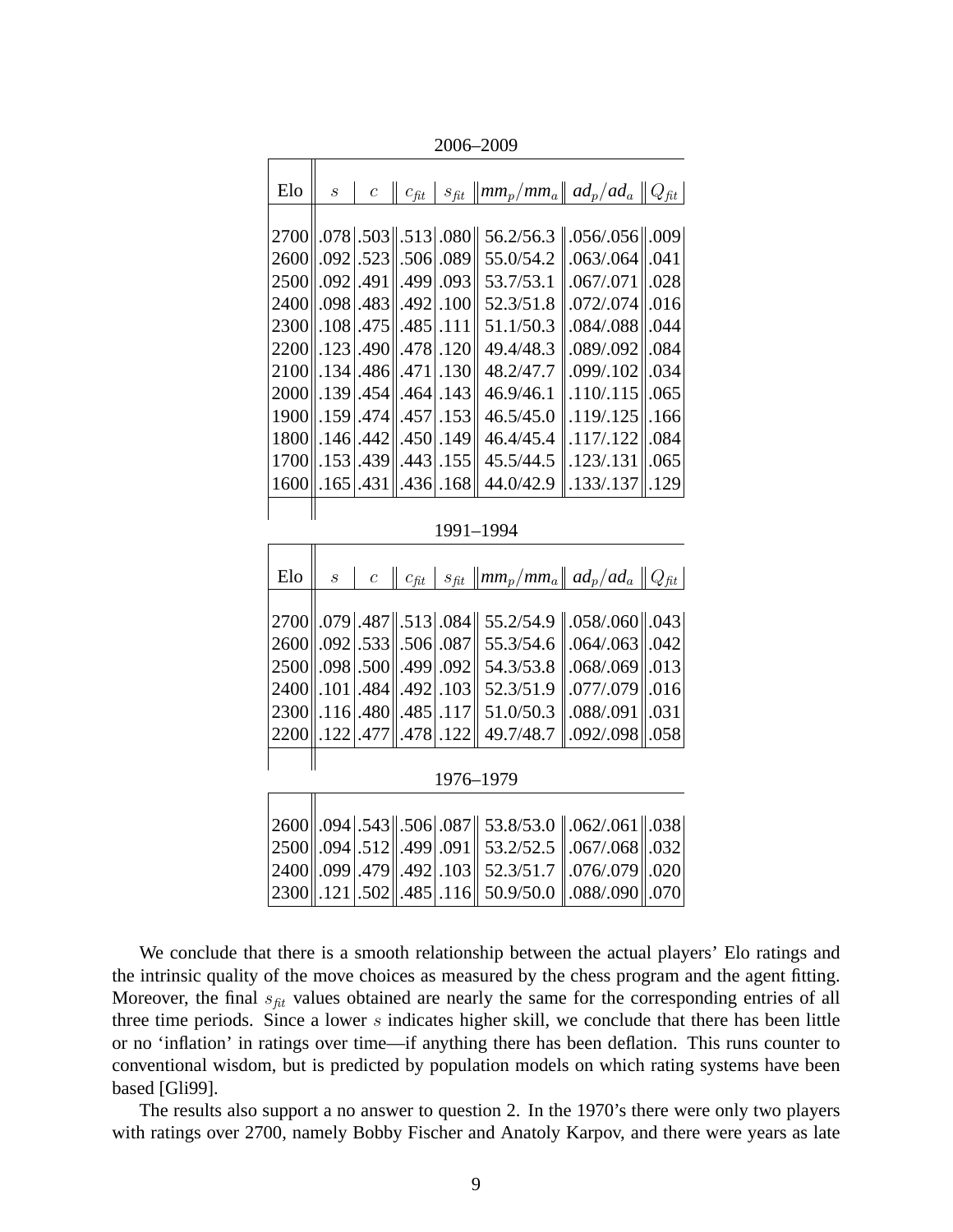2006–2009

Г

π

| Elo       | $\mathcal{S}% _{M_{1},M_{2}}^{\alpha,\beta,\gamma}(\varepsilon)$ | $\mathcal{C}$         |      |          | $c_{\text{fit}}$ $ s_{\text{fit}} $ mm <sub>p</sub> /mm <sub>a</sub> $ $ ad <sub>p</sub> /ad <sub>a</sub> $ Q_{\text{fit}} $ |                  |      |
|-----------|------------------------------------------------------------------|-----------------------|------|----------|------------------------------------------------------------------------------------------------------------------------------|------------------|------|
|           |                                                                  |                       |      |          |                                                                                                                              |                  |      |
| 2700      |                                                                  |                       |      |          | 56.2/56.3                                                                                                                    | $.056/.056$ ,009 |      |
| 2600      | .092                                                             | .523                  | .506 | .089     | 55.0/54.2                                                                                                                    | .063/.064        | .041 |
| 2500      | .092                                                             | .491                  | .499 | .093     | 53.7/53.1                                                                                                                    | .067/.071        | .028 |
| 2400      | .098                                                             | .483                  | .492 | .100     | 52.3/51.8                                                                                                                    | .072/.074        | .016 |
| 2300      | .108                                                             | .475                  | .485 | .111     | 51.1/50.3                                                                                                                    | .084/.088        | .044 |
| 2200      | .123                                                             | .490                  | .478 | .120     | 49.4/48.3                                                                                                                    | .089/.092        | .084 |
| 2100      | .134                                                             | .486                  | .471 | .130     | 48.2/47.7                                                                                                                    | .099/.102        | .034 |
| 2000      | .139                                                             | .454                  | .464 | .143     | 46.9/46.1                                                                                                                    | .110/.115        | .065 |
| 1900      | .159                                                             | .474                  | .457 | .153     | 46.5/45.0                                                                                                                    | .119/.125        | .166 |
| 1800      | .146                                                             | .442                  | .450 | .149     | 46.4/45.4                                                                                                                    | .117/.122        | .084 |
| 1700      | .153                                                             | .439                  | .443 | .155     | 45.5/44.5                                                                                                                    | .123/.131        | .065 |
| 1600      | .165                                                             | .431                  | .436 | .168     | 44.0/42.9                                                                                                                    | .133/.137        | .129 |
|           |                                                                  |                       |      |          |                                                                                                                              |                  |      |
| 1991-1994 |                                                                  |                       |      |          |                                                                                                                              |                  |      |
|           |                                                                  |                       |      |          |                                                                                                                              |                  |      |
| Elo       | $\boldsymbol{S}$                                                 | $\boldsymbol{c}$      |      |          | $c_{\text{fit}}$   $s_{\text{fit}}$   $mm_p/mm_a$    $ad_p/ad_a$    $Q_{\text{fit}}$                                         |                  |      |
|           |                                                                  |                       |      |          |                                                                                                                              |                  |      |
| 2700      | .079                                                             | .487                  |      | .513.084 | 55.2/54.9                                                                                                                    | $.058/.060$ .043 |      |
| 2600      | .092                                                             | .533                  | .506 | .087     | 55.3/54.6                                                                                                                    | .064/063         | .042 |
| 2500      | .098                                                             | .500                  | .499 | .092     | 54.3/53.8                                                                                                                    | .068/.069        | .013 |
| 2400      | .101                                                             | .484                  | .492 | .103     | 52.3/51.9                                                                                                                    | .077/.079        | .016 |
| 2300      | .116                                                             | .480                  | .485 | .117     | 51.0/50.3                                                                                                                    | .088/.091        | .031 |
| 2200      | .122                                                             | .477                  | .478 | .122     | 49.7/48.7                                                                                                                    | .092/.098        | .058 |
| 1976-1979 |                                                                  |                       |      |          |                                                                                                                              |                  |      |
|           |                                                                  |                       |      |          |                                                                                                                              |                  |      |
| 2600      |                                                                  | $.094$ .543 .506 .087 |      |          | 53.8/53.0                                                                                                                    | $.062/.061$ .038 |      |
| 2500      | .094                                                             | .512                  | .499 | .091     | 53.2/52.5                                                                                                                    | .067/.068        | .032 |
| 2400      | .099                                                             | .479                  | .492 | .103     | 52.3/51.7                                                                                                                    | .076/.079        | .020 |
|           |                                                                  |                       |      |          |                                                                                                                              |                  |      |

We conclude that there is a smooth relationship between the actual players' Elo ratings and the intrinsic quality of the move choices as measured by the chess program and the agent fitting. Moreover, the final  $s_{fit}$  values obtained are nearly the same for the corresponding entries of all three time periods. Since a lower  $s$  indicates higher skill, we conclude that there has been little or no 'inflation' in ratings over time—if anything there has been deflation. This runs counter to conventional wisdom, but is predicted by population models on which rating systems have been based [Gli99].

The results also support a no answer to question 2. In the 1970's there were only two players with ratings over 2700, namely Bobby Fischer and Anatoly Karpov, and there were years as late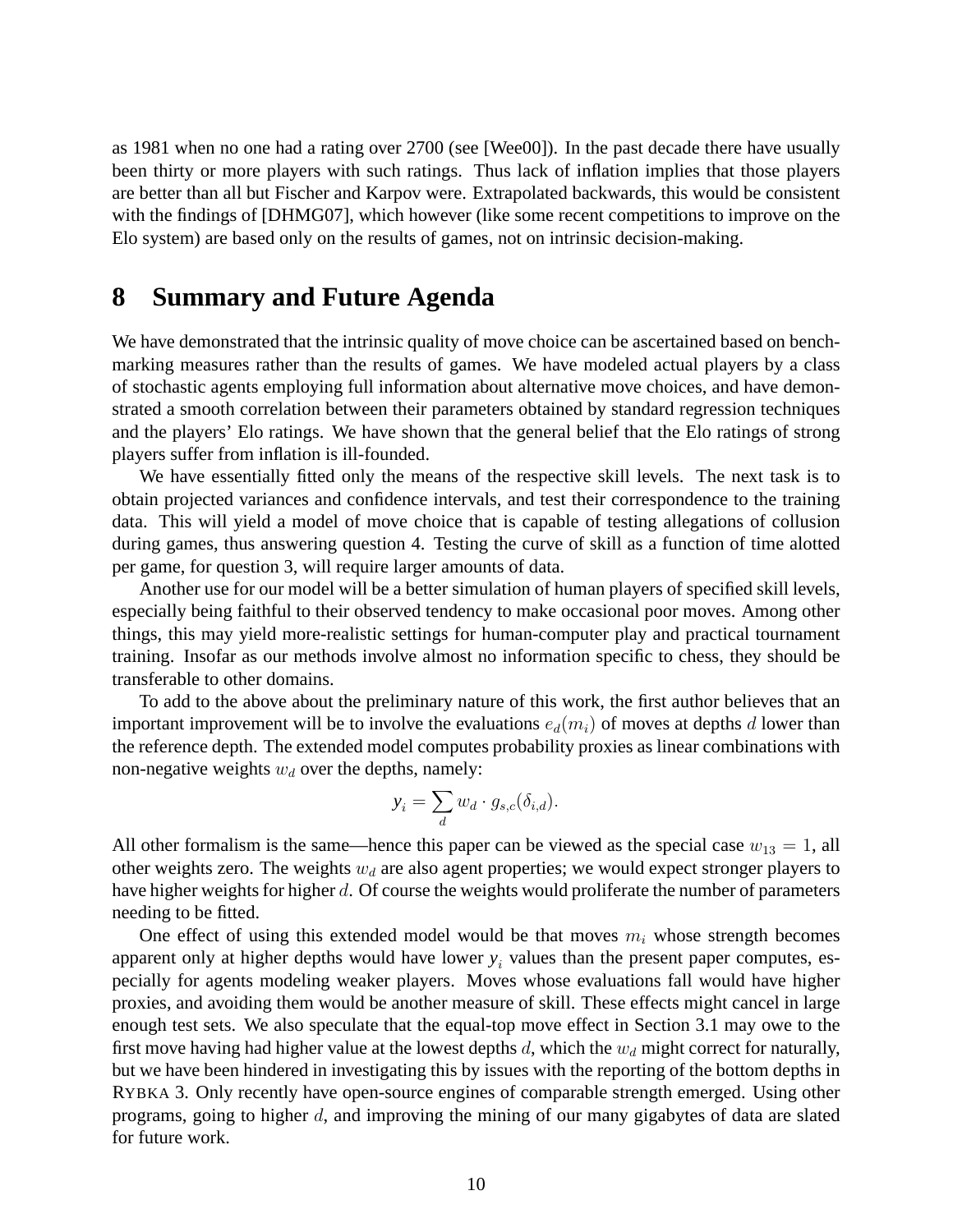as 1981 when no one had a rating over 2700 (see [Wee00]). In the past decade there have usually been thirty or more players with such ratings. Thus lack of inflation implies that those players are better than all but Fischer and Karpov were. Extrapolated backwards, this would be consistent with the findings of [DHMG07], which however (like some recent competitions to improve on the Elo system) are based only on the results of games, not on intrinsic decision-making.

### **8 Summary and Future Agenda**

We have demonstrated that the intrinsic quality of move choice can be ascertained based on benchmarking measures rather than the results of games. We have modeled actual players by a class of stochastic agents employing full information about alternative move choices, and have demonstrated a smooth correlation between their parameters obtained by standard regression techniques and the players' Elo ratings. We have shown that the general belief that the Elo ratings of strong players suffer from inflation is ill-founded.

We have essentially fitted only the means of the respective skill levels. The next task is to obtain projected variances and confidence intervals, and test their correspondence to the training data. This will yield a model of move choice that is capable of testing allegations of collusion during games, thus answering question 4. Testing the curve of skill as a function of time alotted per game, for question 3, will require larger amounts of data.

Another use for our model will be a better simulation of human players of specified skill levels, especially being faithful to their observed tendency to make occasional poor moves. Among other things, this may yield more-realistic settings for human-computer play and practical tournament training. Insofar as our methods involve almost no information specific to chess, they should be transferable to other domains.

To add to the above about the preliminary nature of this work, the first author believes that an important improvement will be to involve the evaluations  $e_d(m_i)$  of moves at depths d lower than the reference depth. The extended model computes probability proxies as linear combinations with non-negative weights  $w_d$  over the depths, namely:

$$
y_i = \sum_d w_d \cdot g_{s,c}(\delta_{i,d}).
$$

All other formalism is the same—hence this paper can be viewed as the special case  $w_{13} = 1$ , all other weights zero. The weights  $w_d$  are also agent properties; we would expect stronger players to have higher weights for higher d. Of course the weights would proliferate the number of parameters needing to be fitted.

One effect of using this extended model would be that moves  $m_i$  whose strength becomes apparent only at higher depths would have lower  $y_i$  values than the present paper computes, especially for agents modeling weaker players. Moves whose evaluations fall would have higher proxies, and avoiding them would be another measure of skill. These effects might cancel in large enough test sets. We also speculate that the equal-top move effect in Section 3.1 may owe to the first move having had higher value at the lowest depths  $d$ , which the  $w_d$  might correct for naturally, but we have been hindered in investigating this by issues with the reporting of the bottom depths in RYBKA 3. Only recently have open-source engines of comparable strength emerged. Using other programs, going to higher d, and improving the mining of our many gigabytes of data are slated for future work.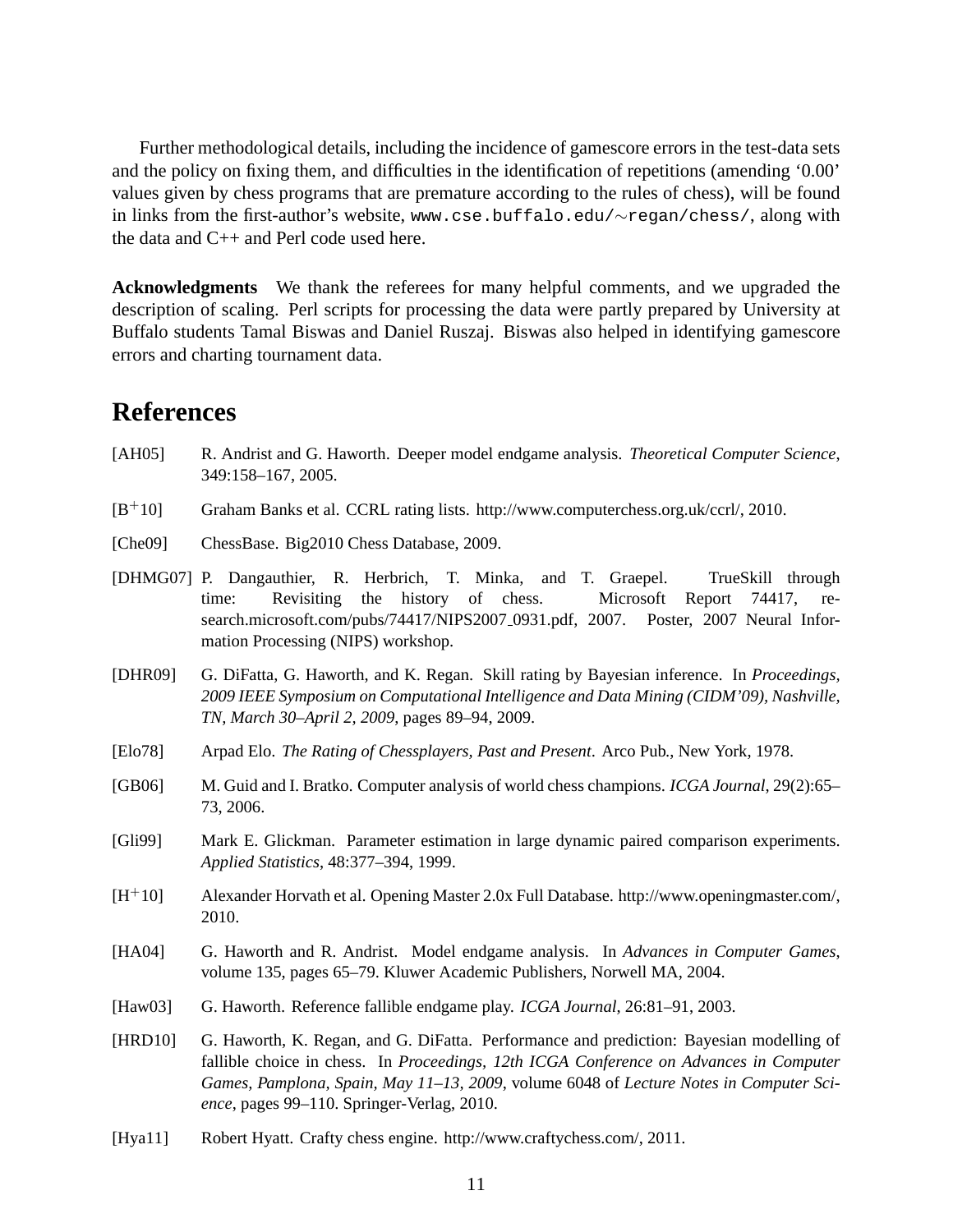Further methodological details, including the incidence of gamescore errors in the test-data sets and the policy on fixing them, and difficulties in the identification of repetitions (amending '0.00' values given by chess programs that are premature according to the rules of chess), will be found in links from the first-author's website, www.cse.buffalo.edu/∼regan/chess/, along with the data and C++ and Perl code used here.

**Acknowledgments** We thank the referees for many helpful comments, and we upgraded the description of scaling. Perl scripts for processing the data were partly prepared by University at Buffalo students Tamal Biswas and Daniel Ruszaj. Biswas also helped in identifying gamescore errors and charting tournament data.

### **References**

- [AH05] R. Andrist and G. Haworth. Deeper model endgame analysis. *Theoretical Computer Science*, 349:158–167, 2005.
- [B+10] Graham Banks et al. CCRL rating lists. http://www.computerchess.org.uk/ccrl/, 2010.
- [Che09] ChessBase. Big2010 Chess Database, 2009.
- [DHMG07] P. Dangauthier, R. Herbrich, T. Minka, and T. Graepel. TrueSkill through time: Revisiting the history of chess. Microsoft Report 74417, research.microsoft.com/pubs/74417/NIPS2007 0931.pdf, 2007. Poster, 2007 Neural Information Processing (NIPS) workshop.
- [DHR09] G. DiFatta, G. Haworth, and K. Regan. Skill rating by Bayesian inference. In *Proceedings, 2009 IEEE Symposium on Computational Intelligence and Data Mining (CIDM'09), Nashville, TN, March 30–April 2, 2009*, pages 89–94, 2009.
- [Elo78] Arpad Elo. *The Rating of Chessplayers, Past and Present*. Arco Pub., New York, 1978.
- [GB06] M. Guid and I. Bratko. Computer analysis of world chess champions. *ICGA Journal*, 29(2):65– 73, 2006.
- [Gli99] Mark E. Glickman. Parameter estimation in large dynamic paired comparison experiments. *Applied Statistics*, 48:377–394, 1999.
- [H+10] Alexander Horvath et al. Opening Master 2.0x Full Database. http://www.openingmaster.com/, 2010.
- [HA04] G. Haworth and R. Andrist. Model endgame analysis. In *Advances in Computer Games*, volume 135, pages 65–79. Kluwer Academic Publishers, Norwell MA, 2004.
- [Haw03] G. Haworth. Reference fallible endgame play. *ICGA Journal*, 26:81–91, 2003.
- [HRD10] G. Haworth, K. Regan, and G. DiFatta. Performance and prediction: Bayesian modelling of fallible choice in chess. In *Proceedings, 12th ICGA Conference on Advances in Computer Games, Pamplona, Spain, May 11–13, 2009*, volume 6048 of *Lecture Notes in Computer Science*, pages 99–110. Springer-Verlag, 2010.
- [Hya11] Robert Hyatt. Crafty chess engine. http://www.craftychess.com/, 2011.